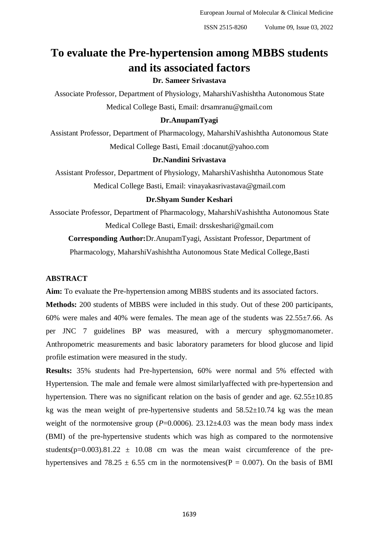# **To evaluate the Pre-hypertension among MBBS students and its associated factors**

# **Dr. Sameer Srivastava**

Associate Professor, Department of Physiology, MaharshiVashishtha Autonomous State Medical College Basti, Email: drsamranu@gmail.com

## **Dr.AnupamTyagi**

Assistant Professor, Department of Pharmacology, MaharshiVashishtha Autonomous State Medical College Basti, Email :docanut@yahoo.com

## **Dr.Nandini Srivastava**

Assistant Professor, Department of Physiology, MaharshiVashishtha Autonomous State Medical College Basti, Email: vinayakasrivastava@gmail.com

## **Dr.Shyam Sunder Keshari**

Associate Professor, Department of Pharmacology, MaharshiVashishtha Autonomous State Medical College Basti, Email: [drsskeshari@gmail.com](mailto:drsskeshari@gmail.com)

**Corresponding Author:**Dr.AnupamTyagi, Assistant Professor, Department of

Pharmacology, MaharshiVashishtha Autonomous State Medical College,Basti

# **ABSTRACT**

**Aim:** To evaluate the Pre-hypertension among MBBS students and its associated factors.

**Methods:** 200 students of MBBS were included in this study. Out of these 200 participants, 60% were males and 40% were females. The mean age of the students was 22.55±7.66. As per JNC 7 guidelines BP was measured, with a mercury sphygmomanometer. Anthropometric measurements and basic laboratory parameters for blood glucose and lipid profile estimation were measured in the study.

**Results:** 35% students had Pre-hypertension, 60% were normal and 5% effected with Hypertension. The male and female were almost similarlyaffected with pre-hypertension and hypertension. There was no significant relation on the basis of gender and age.  $62.55 \pm 10.85$ kg was the mean weight of pre-hypertensive students and  $58.52\pm10.74$  kg was the mean weight of the normotensive group  $(P=0.0006)$ . 23.12 $\pm$ 4.03 was the mean body mass index (BMI) of the pre-hypertensive students which was high as compared to the normotensive students( $p=0.003$ ).81.22  $\pm$  10.08 cm was the mean waist circumference of the prehypertensives and 78.25  $\pm$  6.55 cm in the normotensives(P = 0.007). On the basis of BMI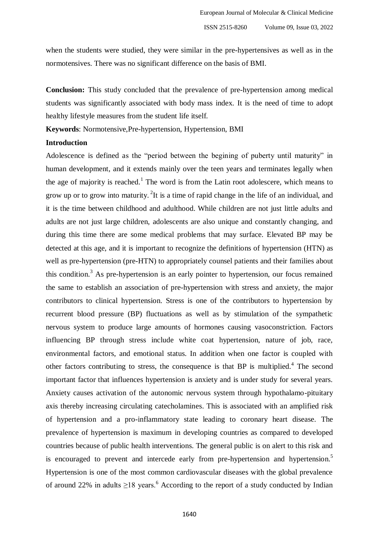when the students were studied, they were similar in the pre-hypertensives as well as in the normotensives. There was no significant difference on the basis of BMI.

**Conclusion:** This study concluded that the prevalence of pre-hypertension among medical students was significantly associated with body mass index. It is the need of time to adopt healthy lifestyle measures from the student life itself.

**Keywords**: Normotensive,Pre-hypertension, Hypertension, BMI

### **Introduction**

Adolescence is defined as the "period between the begining of puberty until maturity" in human development, and it extends mainly over the teen years and terminates legally when the age of majority is reached.<sup>1</sup> The word is from the Latin root adolescere, which means to grow up or to grow into maturity.  $2$ It is a time of rapid change in the life of an individual, and it is the time between childhood and adulthood. While children are not just little adults and adults are not just large children, adolescents are also unique and constantly changing, and during this time there are some medical problems that may surface. Elevated BP may be detected at this age, and it is important to recognize the definitions of hypertension (HTN) as well as pre-hypertension (pre-HTN) to appropriately counsel patients and their families about this condition.<sup>3</sup> As pre-hypertension is an early pointer to hypertension, our focus remained the same to establish an association of pre-hypertension with stress and anxiety, the major contributors to clinical hypertension. Stress is one of the contributors to hypertension by recurrent blood pressure (BP) fluctuations as well as by stimulation of the sympathetic nervous system to produce large amounts of hormones causing vasoconstriction. Factors influencing BP through stress include white coat hypertension, nature of job, race, environmental factors, and emotional status. In addition when one factor is coupled with other factors contributing to stress, the consequence is that BP is multiplied.<sup>4</sup> The second important factor that influences hypertension is anxiety and is under study for several years. Anxiety causes activation of the autonomic nervous system through hypothalamo-pituitary axis thereby increasing circulating catecholamines. This is associated with an amplified risk of hypertension and a pro-inflammatory state leading to coronary heart disease. The prevalence of hypertension is maximum in developing countries as compared to developed countries because of public health interventions. The general public is on alert to this risk and is encouraged to prevent and intercede early from pre-hypertension and hypertension.<sup>5</sup> Hypertension is one of the most common cardiovascular diseases with the global prevalence of around 22% in adults  $>18$  years.<sup>6</sup> According to the report of a study conducted by Indian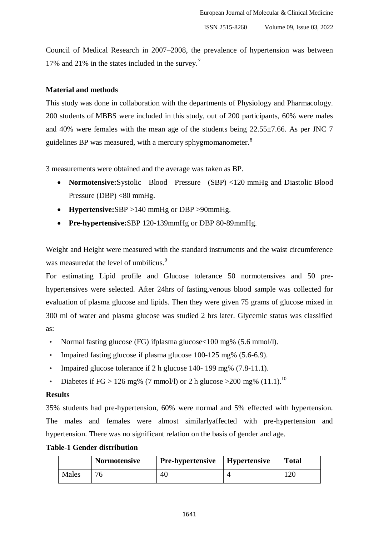Council of Medical Research in 2007–2008, the prevalence of hypertension was between 17% and 21% in the states included in the survey.<sup>7</sup>

## **Material and methods**

This study was done in collaboration with the departments of Physiology and Pharmacology. 200 students of MBBS were included in this study, out of 200 participants, 60% were males and 40% were females with the mean age of the students being 22.55±7.66. As per JNC 7 guidelines BP was measured, with a mercury sphygmomanometer.<sup>8</sup>

3 measurements were obtained and the average was taken as BP.

- **Normotensive:**Systolic Blood Pressure (SBP) <120 mmHg and Diastolic Blood Pressure (DBP) <80 mmHg.
- **Hypertensive:**SBP >140 mmHg or DBP >90mmHg.
- **Pre-hypertensive:**SBP 120-139mmHg or DBP 80-89mmHg.

Weight and Height were measured with the standard instruments and the waist circumference was measuredat the level of umbilicus.<sup>9</sup>

For estimating Lipid profile and Glucose tolerance 50 normotensives and 50 prehypertensives were selected. After 24hrs of fasting,venous blood sample was collected for evaluation of plasma glucose and lipids. Then they were given 75 grams of glucose mixed in 300 ml of water and plasma glucose was studied 2 hrs later. Glycemic status was classified as:

- Normal fasting glucose (FG) ifplasma glucose < 100 mg% (5.6 mmol/l).
- Impaired fasting glucose if plasma glucose 100-125 mg% (5.6-6.9).
- Impaired glucose tolerance if 2 h glucose 140- 199 mg%  $(7.8-11.1)$ .
- Diabetes if FG > 126 mg% (7 mmol/l) or 2 h glucose > 200 mg% (11.1).<sup>10</sup>

## **Results**

35% students had pre-hypertension, 60% were normal and 5% effected with hypertension. The males and females were almost similarlyaffected with pre-hypertension and hypertension. There was no significant relation on the basis of gender and age.

# **Table-1 Gender distribution**

|       | <b>Normotensive</b> | <b>Pre-hypertensive</b>   Hypertensive | <b>Total</b> |
|-------|---------------------|----------------------------------------|--------------|
| Males |                     | 40                                     |              |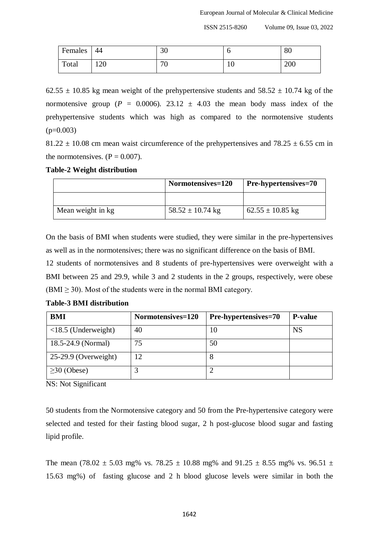ISSN 2515-8260 Volume 09, Issue 03, 2022

| Females | 44  | 30         | U   | 80  |
|---------|-----|------------|-----|-----|
| Total   | 120 | $\pi$<br>◡ | 1 V | 200 |

 $62.55 \pm 10.85$  kg mean weight of the prehypertensive students and  $58.52 \pm 10.74$  kg of the normotensive group ( $P = 0.0006$ ). 23.12  $\pm$  4.03 the mean body mass index of the prehypertensive students which was high as compared to the normotensive students  $(p=0.003)$ 

 $81.22 \pm 10.08$  cm mean waist circumference of the prehypertensives and  $78.25 \pm 6.55$  cm in the normotensives.  $(P = 0.007)$ .

#### **Table-2 Weight distribution**

|                   | Normotensives=120    | <b>Pre-hypertensives=70</b> |
|-------------------|----------------------|-----------------------------|
|                   |                      |                             |
| Mean weight in kg | $58.52 \pm 10.74$ kg | $62.55 \pm 10.85$ kg        |

On the basis of BMI when students were studied, they were similar in the pre-hypertensives as well as in the normotensives; there was no significant difference on the basis of BMI.

12 students of normotensives and 8 students of pre-hypertensives were overweight with a BMI between 25 and 29.9, while 3 and 2 students in the 2 groups, respectively, were obese  $(BMI \geq 30)$ . Most of the students were in the normal BMI category.

| BMI                          | Normotensives=120 | Pre-hypertensives=70 | <b>P-value</b> |
|------------------------------|-------------------|----------------------|----------------|
| $\langle$ 18.5 (Underweight) | 40                | 10                   | <b>NS</b>      |
| 18.5-24.9 (Normal)           | 75                | 50                   |                |
| $25-29.9$ (Overweight)       | 12                | Õ                    |                |
| $\geq$ 30 (Obese)            |                   |                      |                |

**Table-3 BMI distribution** 

NS: Not Significant

50 students from the Normotensive category and 50 from the Pre-hypertensive category were selected and tested for their fasting blood sugar, 2 h post-glucose blood sugar and fasting lipid profile.

The mean (78.02  $\pm$  5.03 mg% vs. 78.25  $\pm$  10.88 mg% and 91.25  $\pm$  8.55 mg% vs. 96.51  $\pm$ 15.63 mg%) of fasting glucose and 2 h blood glucose levels were similar in both the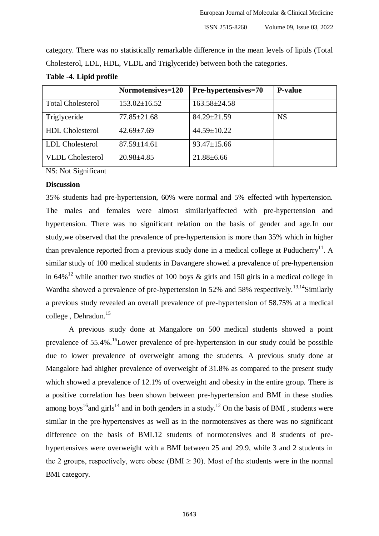category. There was no statistically remarkable difference in the mean levels of lipids (Total Cholesterol, LDL, HDL, VLDL and Triglyceride) between both the categories.

|                          | Normotensives=120  | Pre-hypertensives=70 | <b>P-value</b> |
|--------------------------|--------------------|----------------------|----------------|
| <b>Total Cholesterol</b> | $153.02 \pm 16.52$ | $163.58 \pm 24.58$   |                |
| Triglyceride             | $77.85 \pm 21.68$  | $84.29 \pm 21.59$    | <b>NS</b>      |
| <b>HDL</b> Cholesterol   | $42.69 \pm 7.69$   | $44.59 \pm 10.22$    |                |
| LDL Cholesterol          | $87.59 \pm 14.61$  | $93.47 \pm 15.66$    |                |
| <b>VLDL</b> Cholesterol  | $20.98 \pm 4.85$   | $21.88 \pm 6.66$     |                |

### **Table -4. Lipid profile**

NS: Not Significant

## **Discussion**

35% students had pre-hypertension, 60% were normal and 5% effected with hypertension. The males and females were almost similarlyaffected with pre-hypertension and hypertension. There was no significant relation on the basis of gender and age.In our study,we observed that the prevalence of pre-hypertension is more than 35% which in higher than prevalence reported from a previous study done in a medical college at Puducherry<sup>11</sup>. A similar study of 100 medical students in Davangere showed a prevalence of pre-hypertension in 64%<sup>12</sup> while another two studies of 100 boys  $\&$  girls and 150 girls in a medical college in Wardha showed a prevalence of pre-hypertension in  $52\%$  and  $58\%$  respectively.<sup>13,14</sup>Similarly a previous study revealed an overall prevalence of pre-hypertension of 58.75% at a medical college , Dehradun. 15

A previous study done at Mangalore on 500 medical students showed a point prevalence of 55.4%.<sup>16</sup>Lower prevalence of pre-hypertension in our study could be possible due to lower prevalence of overweight among the students. A previous study done at Mangalore had ahigher prevalence of overweight of 31.8% as compared to the present study which showed a prevalence of 12.1% of overweight and obesity in the entire group. There is a positive correlation has been shown between pre-hypertension and BMI in these studies among boys<sup>16</sup> and girls<sup>14</sup> and in both genders in a study.<sup>12</sup> On the basis of BMI, students were similar in the pre-hypertensives as well as in the normotensives as there was no significant difference on the basis of BMI.12 students of normotensives and 8 students of prehypertensives were overweight with a BMI between 25 and 29.9, while 3 and 2 students in the 2 groups, respectively, were obese (BMI  $\geq$  30). Most of the students were in the normal BMI category.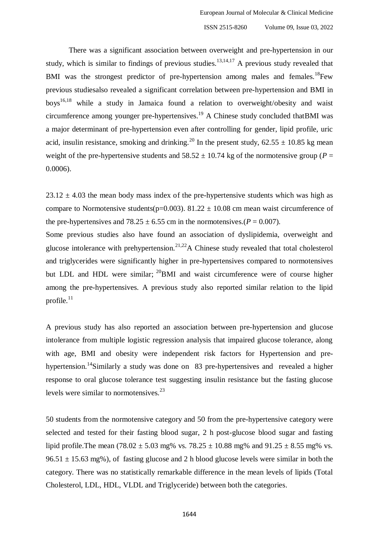There was a significant association between overweight and pre-hypertension in our study, which is similar to findings of previous studies.<sup>13,14,17</sup> A previous study revealed that BMI was the strongest predictor of pre-hypertension among males and females.<sup>18</sup>Few previous studiesalso revealed a significant correlation between pre-hypertension and BMI in boys<sup>16,18</sup> while a study in Jamaica found a relation to overweight/obesity and waist circumference among younger pre-hypertensives.<sup>19</sup> A Chinese study concluded that BMI was a major determinant of pre-hypertension even after controlling for gender, lipid profile, uric acid, insulin resistance, smoking and drinking.<sup>20</sup> In the present study,  $62.55 \pm 10.85$  kg mean weight of the pre-hypertensive students and  $58.52 \pm 10.74$  kg of the normotensive group ( $P =$ 0.0006).

 $23.12 \pm 4.03$  the mean body mass index of the pre-hypertensive students which was high as compare to Normotensive students(p=0.003). 81.22  $\pm$  10.08 cm mean waist circumference of the pre-hypertensives and  $78.25 \pm 6.55$  cm in the normotensives.( $P = 0.007$ ).

Some previous studies also have found an association of dyslipidemia, overweight and glucose intolerance with prehypertension.<sup>21,22</sup>A Chinese study revealed that total cholesterol and triglycerides were significantly higher in pre-hypertensives compared to normotensives but LDL and HDL were similar;  $^{20}$ BMI and waist circumference were of course higher among the pre-hypertensives. A previous study also reported similar relation to the lipid profile. $11$ 

A previous study has also reported an association between pre-hypertension and glucose intolerance from multiple logistic regression analysis that impaired glucose tolerance, along with age, BMI and obesity were independent risk factors for Hypertension and prehypertension.<sup>14</sup>Similarly a study was done on 83 pre-hypertensives and revealed a higher response to oral glucose tolerance test suggesting insulin resistance but the fasting glucose levels were similar to normotensives. $^{23}$ 

50 students from the normotensive category and 50 from the pre-hypertensive category were selected and tested for their fasting blood sugar, 2 h post-glucose blood sugar and fasting lipid profile. The mean  $(78.02 \pm 5.03 \text{ mg\% vs. } 78.25 \pm 10.88 \text{ mg\% and } 91.25 \pm 8.55 \text{ mg\% vs. }$  $96.51 \pm 15.63$  mg%), of fasting glucose and 2 h blood glucose levels were similar in both the category. There was no statistically remarkable difference in the mean levels of lipids (Total Cholesterol, LDL, HDL, VLDL and Triglyceride) between both the categories.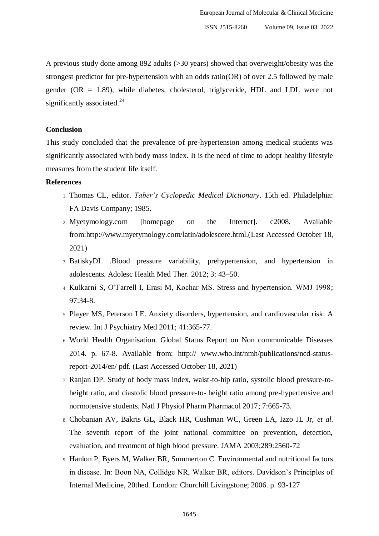A previous study done among 892 adults (>30 years) showed that overweight/obesity was the strongest predictor for pre-hypertension with an odds ratio(OR) of over 2.5 followed by male gender ( $OR = 1.89$ ), while diabetes, cholesterol, triglyceride, HDL and LDL were not significantly associated. $24$ 

# **Conclusion**

This study concluded that the prevalence of pre-hypertension among medical students was significantly associated with body mass index. It is the need of time to adopt healthy lifestyle measures from the student life itself.

#### **References**

- 1. Thomas CL, editor. *Taber's Cyclopedic Medical Dictionary*. 15th ed. Philadelphia: FA Davis Company; 1985.
- 2. Myetymology.com [homepage on the Internet]. c2008. Available from[:http://www.myetymology.com/latin/adolescere.html.](http://www.myetymology.com/latin/adolescere.html)(Last Accessed October 18, 2021)
- 3. Batisk[yDL .](https://www.ncbi.nlm.nih.gov/pubmed/?term=Batisky%20DL%5BAuthor%5D&cauthor=true&cauthor_uid=24600286)Blood pressure variability, prehypertension, and hypertension in adolescents. [Adolesc Health Med Ther.](https://www.ncbi.nlm.nih.gov/pmc/articles/PMC3915787/) 2012; 3: 43–50.
- 4. Kulkarni S, O'Farrell I, Erasi M, Kochar MS. Stress and hypertension. WMJ 1998; 97:34-8.
- 5. Player MS, Peterson LE. Anxiety disorders, hypertension, and cardiovascular risk: A review. Int J Psychiatry Med 2011; 41:365-77.
- 6. World Health Organisation. Global Status Report on Non communicable Diseases 2014. p. 67-8. Available from: http:// www.who.int/nmh/publications/ncd-statusreport-2014/en/ pdf. (Last Accessed October 18, 2021)
- 7. Ranjan DP. Study of body mass index, waist-to-hip ratio, systolic blood pressure-toheight ratio, and diastolic blood pressure-to- height ratio among pre-hypertensive and normotensive students. Natl J Physiol Pharm Pharmacol 2017; 7:665-73.
- 8. Chobanian AV, Bakris GL, Black HR, Cushman WC, Green LA, Izzo JL Jr, *et al*. The seventh report of the joint national committee on prevention, detection, evaluation, and treatment of high blood pressure. JAMA 2003;289:2560-72
- 9. Hanlon P, Byers M, Walker BR, Summerton C. Environmental and nutritional factors in disease. In: Boon NA, Collidge NR, Walker BR, editors. Davidson's Principles of Internal Medicine, 20thed. London: Churchill Livingstone; 2006. p. 93-127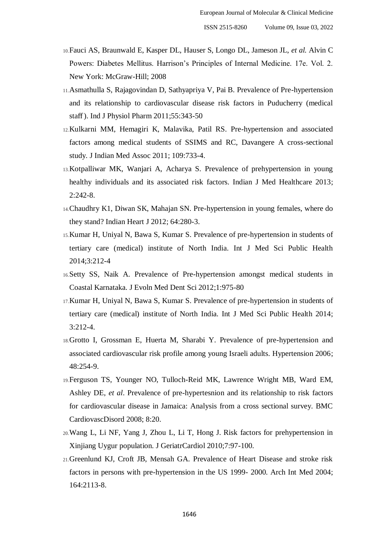- 10.Fauci AS, Braunwald E, Kasper DL, Hauser S, Longo DL, Jameson JL, *et al.* Alvin C Powers: Diabetes Mellitus. Harrison's Principles of Internal Medicine. 17e. Vol. 2. New York: McGraw-Hill; 2008
- 11.Asmathulla S, Rajagovindan D, Sathyapriya V, Pai B. Prevalence of Pre-hypertension and its relationship to cardiovascular disease risk factors in Puducherry (medical staff ). Ind J Physiol Pharm 2011;55:343-50
- 12.Kulkarni MM, Hemagiri K, Malavika, Patil RS. Pre-hypertension and associated factors among medical students of SSIMS and RC, Davangere A cross-sectional study. J Indian Med Assoc 2011; 109:733-4.
- 13.Kotpalliwar MK, Wanjari A, Acharya S. Prevalence of prehypertension in young healthy individuals and its associated risk factors. Indian J Med Healthcare 2013; 2:242-8.
- 14.Chaudhry K1, Diwan SK, Mahajan SN. Pre-hypertension in young females, where do they stand? Indian Heart J 2012; 64:280-3.
- 15.Kumar H, Uniyal N, Bawa S, Kumar S. Prevalence of pre-hypertension in students of tertiary care (medical) institute of North India. Int J Med Sci Public Health 2014;3:212-4
- 16.Setty SS, Naik A. Prevalence of Pre-hypertension amongst medical students in Coastal Karnataka. J Evoln Med Dent Sci 2012;1:975-80
- 17.Kumar H, Uniyal N, Bawa S, Kumar S. Prevalence of pre-hypertension in students of tertiary care (medical) institute of North India. Int J Med Sci Public Health 2014; 3:212-4.
- 18.Grotto I, Grossman E, Huerta M, Sharabi Y. Prevalence of pre-hypertension and associated cardiovascular risk profile among young Israeli adults. Hypertension 2006; 48:254-9.
- 19.Ferguson TS, Younger NO, Tulloch-Reid MK, Lawrence Wright MB, Ward EM, Ashley DE, *et al*. Prevalence of pre-hypertesnion and its relationship to risk factors for cardiovascular disease in Jamaica: Analysis from a cross sectional survey. BMC CardiovascDisord 2008; 8:20.
- 20.Wang L, Li NF, Yang J, Zhou L, Li T, Hong J. Risk factors for prehypertension in Xinjiang Uygur population. J GeriatrCardiol 2010;7:97-100.
- 21.Greenlund KJ, Croft JB, Mensah GA. Prevalence of Heart Disease and stroke risk factors in persons with pre-hypertension in the US 1999- 2000. Arch Int Med 2004; 164:2113-8.